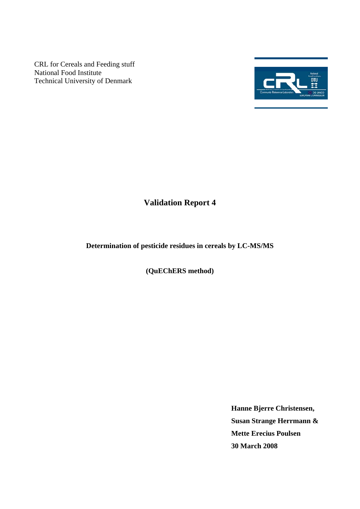CRL for Cereals and Feeding stuff National Food Institute Technical University of Denmark



# **Validation Report 4**

# **Determination of pesticide residues in cereals by LC-MS/MS**

**(QuEChERS method)** 

**Hanne Bjerre Christensen, Susan Strange Herrmann & Mette Erecius Poulsen 30 March 2008**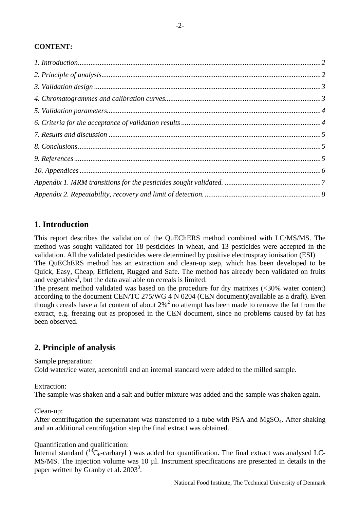# <span id="page-1-0"></span>**CONTENT:**

# **1. Introduction**

This report describes the validation of the QuEChERS method combined with LC/MS/MS. The method was sought validated for 18 pesticides in wheat, and 13 pesticides were accepted in the validation. All the validated pesticides were determined by positive electrospray ionisation (ESI) The QuEChERS method has an extraction and clean-up step, which has been developed to be Quick, Easy, Cheap, Efficient, Rugged and Safe. The method has already been validated on fruits and vegetables<sup>1</sup>, but the data available on cereals is limited.

The present method validated was based on the procedure for dry matrixes (<30% water content) according to the document CEN/TC 275/WG 4 N 0204 (CEN document)(available as a draft). Even though cereals have a fat content of about  $2\%$ <sup>2</sup> no attempt has been made to remove the fat from the extract, e.g. freezing out as proposed in the CEN document, since no problems caused by fat has been observed.

# **2. Principle of analysis**

Sample preparation:

Cold water/ice water, acetonitril and an internal standard were added to the milled sample.

Extraction:

The sample was shaken and a salt and buffer mixture was added and the sample was shaken again.

Clean-up:

After centrifugation the supernatant was transferred to a tube with PSA and MgSO<sub>4</sub>. After shaking and an additional centrifugation step the final extract was obtained.

#### Quantification and qualification:

Internal standard  $\binom{13}{6}$ -carbaryl) was added for quantification. The final extract was analysed LC-MS/MS. The injection volume was 10 µl. Instrument specifications are presented in details in the paper written by Granby et al.  $2003^3$ .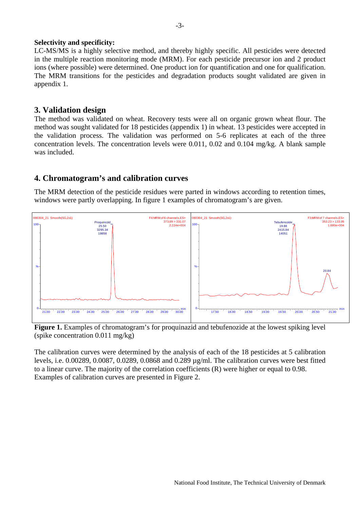#### <span id="page-2-0"></span>**Selectivity and specificity:**

LC-MS/MS is a highly selective method, and thereby highly specific. All pesticides were detected in the multiple reaction monitoring mode (MRM). For each pesticide precursor ion and 2 product ions (where possible) were determined. One product ion for quantification and one for qualification. The MRM transitions for the pesticides and degradation products sought validated are given in appendix 1.

## **3. Validation design**

The method was validated on wheat. Recovery tests were all on organic grown wheat flour. The method was sought validated for 18 pesticides (appendix 1) in wheat. 13 pesticides were accepted in the validation process. The validation was performed on 5-6 replicates at each of the three concentration levels. The concentration levels were 0.011, 0.02 and 0.104 mg/kg. A blank sample was included.

## **4. Chromatogram's and calibration curves**

The MRM detection of the pesticide residues were parted in windows according to retention times, windows were partly overlapping. In figure 1 examples of chromatogram's are given.



**Figure 1.** Examples of chromatogram's for proquinazid and tebufenozide at the lowest spiking level (spike concentration 0.011 mg/kg)

The calibration curves were determined by the analysis of each of the 18 pesticides at 5 calibration levels, i.e. 0.00289, 0.0087, 0.0289, 0.0868 and 0.289 µg/ml. The calibration curves were best fitted to a linear curve. The majority of the correlation coefficients (R) were higher or equal to 0.98. Examples of calibration curves are presented in Figure 2.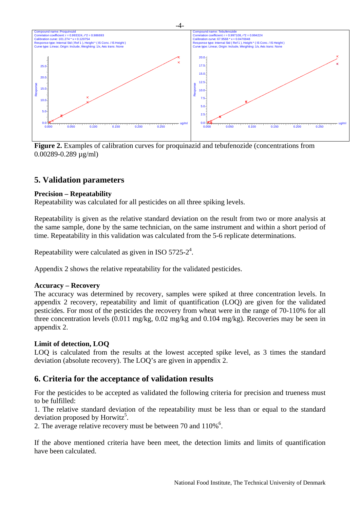<span id="page-3-0"></span>

**Figure 2.** Examples of calibration curves for proquinazid and tebufenozide (concentrations from 0.00289-0.289 µg/ml)

# **5. Validation parameters**

#### **Precision – Repeatability**

Repeatability was calculated for all pesticides on all three spiking levels.

Repeatability is given as the relative standard deviation on the result from two or more analysis at the same sample, done by the same technician, on the same instrument and within a short period of time. Repeatability in this validation was calculated from the 5-6 replicate determinations.

Repeatability were calculated as given in ISO 5725-2<sup>4</sup>.

Appendix 2 shows the relative repeatability for the validated pesticides.

#### **Accuracy – Recovery**

The accuracy was determined by recovery, samples were spiked at three concentration levels. In appendix 2 recovery, repeatability and limit of quantification (LOQ) are given for the validated pesticides. For most of the pesticides the recovery from wheat were in the range of 70-110% for all three concentration levels (0.011 mg/kg, 0.02 mg/kg and 0.104 mg/kg). Recoveries may be seen in appendix 2.

#### **Limit of detection, LOQ**

LOQ is calculated from the results at the lowest accepted spike level, as 3 times the standard deviation (absolute recovery). The LOQ's are given in appendix 2.

## **6. Criteria for the acceptance of validation results**

For the pesticides to be accepted as validated the following criteria for precision and trueness must to be fulfilled:

1. The relative standard deviation of the repeatability must be less than or equal to the standard deviation proposed by Horwitz<sup>5</sup>.

2. The average relative recovery must be between 70 and  $110\%$ <sup>6</sup>.

If the above mentioned criteria have been meet, the detection limits and limits of quantification have been calculated.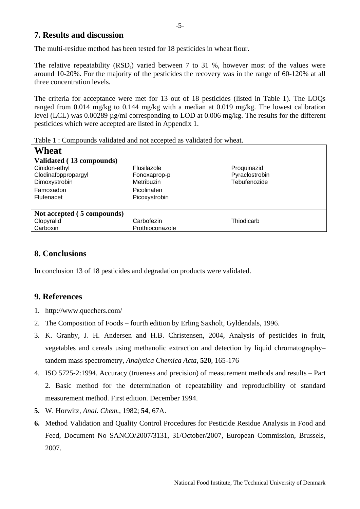## <span id="page-4-0"></span>**7. Results and discussion**

The multi-residue method has been tested for 18 pesticides in wheat flour.

The relative repeatability (RSD<sub>r</sub>) varied between 7 to 31 %, however most of the values were around 10-20%. For the majority of the pesticides the recovery was in the range of 60-120% at all three concentration levels.

The criteria for acceptance were met for 13 out of 18 pesticides (listed in Table 1). The LOQs ranged from 0.014 mg/kg to 0.144 mg/kg with a median at 0.019 mg/kg. The lowest calibration level (LCL) was 0.00289 µg/ml corresponding to LOD at 0.006 mg/kg. The results for the different pesticides which were accepted are listed in Appendix 1.

| Table 1. Compounds vandated and not accepted as vandated for wheat. |                 |                |  |  |  |  |  |
|---------------------------------------------------------------------|-----------------|----------------|--|--|--|--|--|
| Wheat                                                               |                 |                |  |  |  |  |  |
| Validated (13 compounds)                                            |                 |                |  |  |  |  |  |
| Cinidon-ethyl                                                       | Flusilazole     | Proquinazid    |  |  |  |  |  |
| Clodinafoppropargyl                                                 | Fonoxaprop-p    | Pyraclostrobin |  |  |  |  |  |
| Dimoxystrobin                                                       | Metribuzin      | Tebufenozide   |  |  |  |  |  |
| Famoxadon                                                           | Picolinafen     |                |  |  |  |  |  |
| Flufenacet                                                          | Picoxystrobin   |                |  |  |  |  |  |
|                                                                     |                 |                |  |  |  |  |  |
| Not accepted (5 compounds)                                          |                 |                |  |  |  |  |  |
| Clopyralid                                                          | Carbofezin      | Thiodicarb     |  |  |  |  |  |
| Carboxin                                                            | Prothioconazole |                |  |  |  |  |  |
|                                                                     |                 |                |  |  |  |  |  |

Table 1 : Compounds validated and not accepted as validated for wheat.

# **8. Conclusions**

In conclusion 13 of 18 pesticides and degradation products were validated.

## **9. References**

- 1. http://www.quechers.com/
- 2. The Composition of Foods fourth edition by Erling Saxholt, Gyldendals, 1996.
- 3. K. Granby, J. H. Andersen and H.B. Christensen, 2004, Analysis of pesticides in fruit, vegetables and cereals using methanolic extraction and detection by liquid chromatography– tandem mass spectrometry, *Analytica Chemica Acta*, **520**, 165-176
- 4. ISO 5725-2:1994. Accuracy (trueness and precision) of measurement methods and results Part 2. Basic method for the determination of repeatability and reproducibility of standard measurement method. First edition. December 1994.
- **5.** W. Horwitz, *Anal. Chem.,* 1982; **54**, 67A.
- **6.** Method Validation and Quality Control Procedures for Pesticide Residue Analysis in Food and Feed, Document No SANCO/2007/3131, 31/October/2007, European Commission, Brussels, 2007.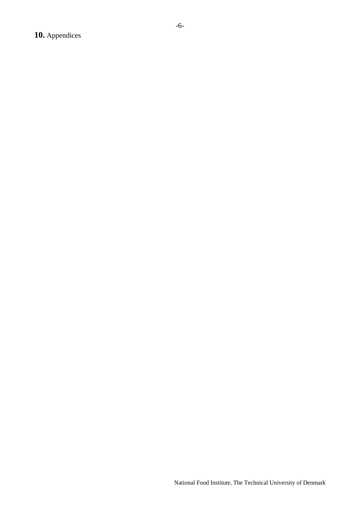<span id="page-5-0"></span>**10.** Appendices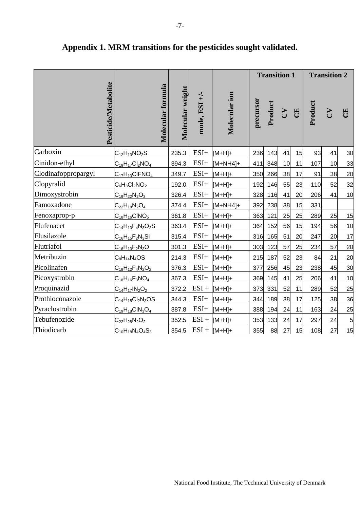|                     |                      |                                |                  |                     |                 | <b>Transition 1</b> |         |              |    | <b>Transition 2</b> |               |    |
|---------------------|----------------------|--------------------------------|------------------|---------------------|-----------------|---------------------|---------|--------------|----|---------------------|---------------|----|
|                     | Pesticide/Metabolite | Molecular formula              | Molecular weight | $\div$<br>mode, ESI | Molecular ion   | precursor           | Product | $\mathbf{C}$ | E  | Product             | $\mathcal{L}$ | 円  |
| Carboxin            |                      | $C_{12}H_{13}NO_2S$            | 235.3            | $ESI+$              | $[M+H]+$        | 236                 | 143     | 41           | 15 | 93                  | 41            | 30 |
| Cinidon-ethyl       |                      | $C_{19}H_{17}Cl_2NO_4$         | 394.3            | $ESI+$              | $[M+NH4]+$      | 411                 | 348     | 10           | 11 | 107                 | 10            | 33 |
| Clodinafoppropargyl |                      | $C_{17}H_{13}CIFNO4$           | 349.7            | $ESI+$              | $[M+H]+$        | 350                 | 266     | 38           | 17 | 91                  | 38            | 20 |
| Clopyralid          |                      | $C_6H_3Cl_2NO_2$               | 192.0            | $ESI+$              | $[M+H]+$        | 192                 | 146     | 55           | 23 | 110                 | 52            | 32 |
| Dimoxystrobin       |                      | $C_{19}H_{22}N_2O_3$           | 326.4            | $ESI+$              | $[M+H]+$        | 328                 | 116     | 41           | 20 | 206                 | 41            | 10 |
| Famoxadone          |                      | $C_{22}H_{18}N_2O_4$           | 374.4            | $ESI+$              | $[M+NH4]+$      | 392                 | 238     | 38           | 15 | 331                 |               |    |
| Fenoxaprop-p        |                      | $C_{18}H_{16}CINO_5$           | 361.8            | $ESI+$              | $[M+H]+$        | 363                 | 121     | 25           | 25 | 289                 | 25            | 15 |
| Flufenacet          |                      | $C_{14}H_{13}F_{4}N_{3}O_{2}S$ | 363.4            | $ESI+$              | $[M+H]+$        | 364                 | 152     | 56           | 15 | 194                 | 56            | 10 |
| Flusilazole         |                      | $C_{16}H_{15}F_{2}N_{3}Si$     | 315.4            | $ESI+$              | $[M+H]+$        | 316                 | 165     | 51           | 20 | 247                 | 20            | 17 |
| Flutriafol          |                      | $C_{16}H_{13}F_{2}N_{3}O$      | 301.3            | $ESI+$              | $[M+H]+$        | 303                 | 123     | 57           | 25 | 234                 | 57            | 20 |
| Metribuzin          |                      | $C_8H_{14}N_4OS$               | 214.3            | $ESI+$              | $[M+H]+$        | 215                 | 187     | 52           | 23 | 84                  | 21            | 20 |
| Picolinafen         |                      | $C_{19}H_{12}F_{4}N_{2}O_{2}$  | 376.3            | $ESI+$              | $[M+H]+$        | 377                 | 256     | 45           | 23 | 238                 | 45            | 30 |
| Picoxystrobin       |                      | $C_{18}H_{16}F_3NO_4$          | 367.3            | $ESI+$              | $[M+H]+$        | 369                 | 145     | 41           | 25 | 206                 | 41            | 10 |
| Proquinazid         |                      | $C_{14}H_{17}IN_2O_2$          | 372.2            | $ESI +$             | $[M+H]+$        | 373                 | 331     | 52           | 11 | 289                 | 52            | 25 |
| Prothioconazole     |                      | $C_{14}H_{15}Cl_2N_3OS$        | 344.3            | $ESI+$              | $[M+H]+$        | 344                 | 189     | 38           | 17 | 125                 | 38            | 36 |
| Pyraclostrobin      |                      | $C_{19}H_{18}CIN_3O_4$         | 387.8            | $ESI+$              | $[M+H]+$        | 388                 | 194     | 24           | 11 | 163                 | 24            | 25 |
| Tebufenozide        |                      | $C_{22}H_{28}N_2O_2$           | 352.5            | $ESI +$             | $[M+H]+$        | 353                 | 133     | 24           | 17 | 297                 | 24            | 5  |
| Thiodicarb          |                      | $C_{10}H_{18}N_4O_4S_3$        | 354.5            |                     | $ESI +  [M+H]+$ | 355                 | 88      | 27           | 15 | 108                 | 27            | 15 |

# <span id="page-6-0"></span>**Appendix 1. MRM transitions for the pesticides sought validated.**